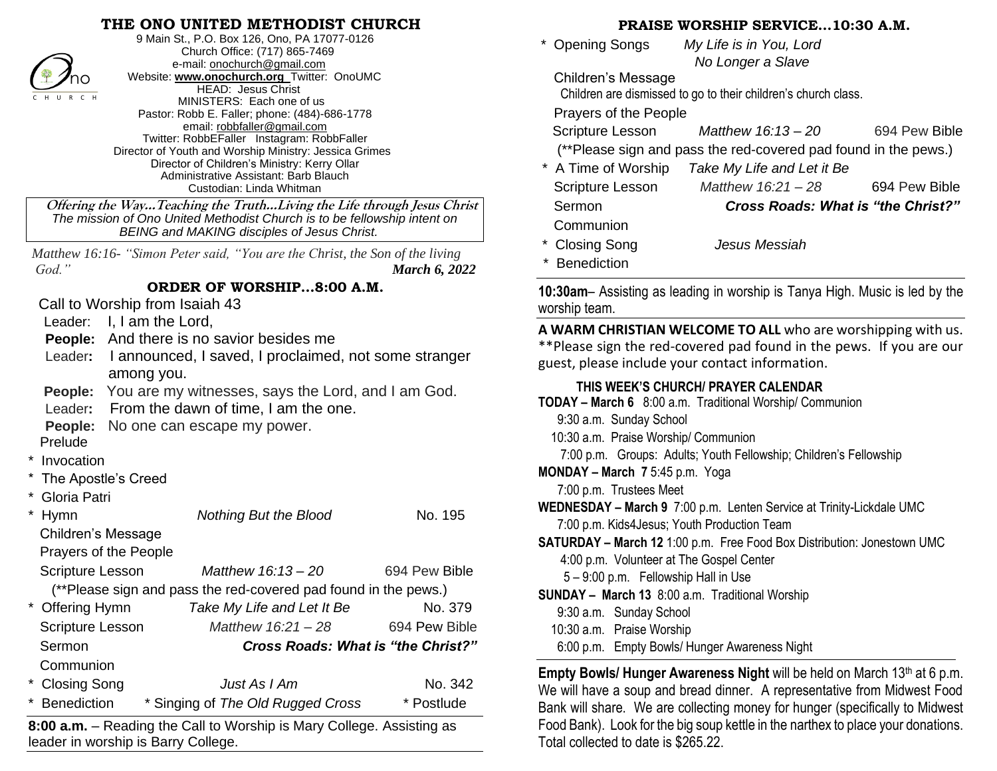## **THE ONO UNITED METHODIST CHURCH**



9 Main St., P.O. Box 126, Ono, PA 17077-0126 Church Office: (717) 865-7469 e-mail[: onochurch@gmail.com](mailto:onochurch@gmail.com) Website: **[www.onochurch.org](http://www.onochurch.org/)** Twitter: OnoUMC HEAD: Jesus Christ MINISTERS: Each one of us Pastor: Robb E. Faller; phone: (484)-686-1778 email: [robbfaller@gmail.com](mailto:robbfaller@gmail.com) Twitter: RobbEFaller Instagram: RobbFaller Director of Youth and Worship Ministry: Jessica Grimes Director of Children's Ministry: Kerry Ollar Administrative Assistant: Barb Blauch Custodian: Linda Whitman

 **Offering the Way…Teaching the Truth…Living the Life through Jesus Christ** *The mission of Ono United Methodist Church is to be fellowship intent on BEING and MAKING disciples of Jesus Christ.* 

*Matthew 16:16- "Simon Peter said, "You are the Christ, the Son of the living God." March 6, 2022* 

## **ORDER OF WORSHIP…8:00 A.M.**

Call to Worship from Isaiah 43

Leader: I, I am the Lord.

**People:** And there is no savior besides me

- Leader**:** I announced, I saved, I proclaimed, not some stranger among you.
- **People:** You are my witnesses, says the Lord, and I am God.

Leader**:** From the dawn of time, I am the one.

**People:** No one can escape my power.

Prelude

- \* Invocation
- The Apostle's Creed
- Gloria Patri

|           | <b>Hymn</b>                                                     | Nothing But the Blood                     | No. 195       |
|-----------|-----------------------------------------------------------------|-------------------------------------------|---------------|
|           | <b>Children's Message</b>                                       |                                           |               |
|           | Prayers of the People                                           |                                           |               |
|           | <b>Scripture Lesson</b>                                         | Matthew 16:13 - 20                        | 694 Pew Bible |
|           | (**Please sign and pass the red-covered pad found in the pews.) |                                           |               |
|           | * Offering Hymn                                                 | Take My Life and Let It Be                | No. 379       |
|           | <b>Scripture Lesson</b>                                         | Matthew 16:21 - 28                        | 694 Pew Bible |
|           | Sermon                                                          | <b>Cross Roads: What is "the Christ?"</b> |               |
| Communion |                                                                 |                                           |               |
|           | * Closing Song                                                  | Just As I Am                              | No. 342       |
|           | <b>Benediction</b>                                              | * Singing of The Old Rugged Cross         | * Postlude    |

**8:00 a.m.** – Reading the Call to Worship is Mary College. Assisting as leader in worship is Barry College. 

## **PRAISE WORSHIP SERVICE…10:30 A.M.**

 \* Opening Songs *My Life is in You, Lord No Longer a Slave*

Children's Message Children are dismissed to go to their children's church class.

Prayers of the People

Scripture Lesson *Matthew 16:13 – 20* 694 Pew Bible

(\*\*Please sign and pass the red-covered pad found in the pews.)

- \* A Time of Worship *Take My Life and Let it Be* Scripture Lesson *Matthew 16:21 – 28* 694 Pew Bible Sermon *Cross Roads: What is "the Christ?"* Communion
- \* Closing Song *Jesus Messiah*

**Benediction** 

**10:30am**– Assisting as leading in worship is Tanya High. Music is led by the worship team.

**A WARM CHRISTIAN WELCOME TO ALL** who are worshipping with us. \*\*Please sign the red-covered pad found in the pews. If you are our guest, please include your contact information.

## **THIS WEEK'S CHURCH/ PRAYER CALENDAR**

- **TODAY – March 6** 8:00 a.m. Traditional Worship/ Communion
	- 9:30 a.m. Sunday School
	- 10:30 a.m. Praise Worship/ Communion

7:00 p.m. Groups: Adults; Youth Fellowship; Children's Fellowship

**MONDAY – March 7** 5:45 p.m. Yoga

7:00 p.m. Trustees Meet

**WEDNESDAY – March 9** 7:00 p.m. Lenten Service at Trinity-Lickdale UMC 7:00 p.m. Kids4Jesus; Youth Production Team

**SATURDAY – March 12** 1:00 p.m. Free Food Box Distribution: Jonestown UMC 4:00 p.m. Volunteer at The Gospel Center

5 – 9:00 p.m. Fellowship Hall in Use

**SUNDAY – March 13** 8:00 a.m. Traditional Worship

- 9:30 a.m. Sunday School
- 10:30 a.m. Praise Worship

l

 6:00 p.m. Empty Bowls/ Hunger Awareness Night  $\overline{a}$ 

**Empty Bowls/ Hunger Awareness Night** will be held on March 13<sup>th</sup> at 6 p.m. We will have a soup and bread dinner. A representative from Midwest Food Bank will share. We are collecting money for hunger (specifically to Midwest Food Bank). Look for the big soup kettle in the narthex to place your donations. Total collected to date is \$265.22.